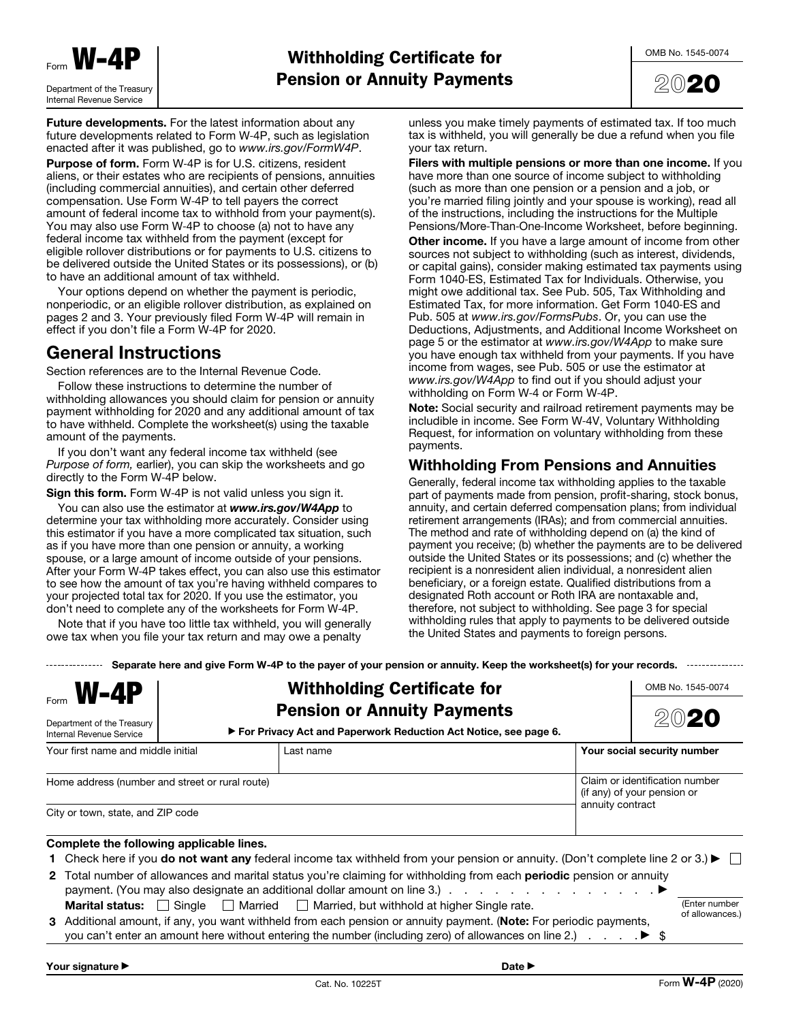



Future developments. For the latest information about any future developments related to Form W‐4P, such as legislation enacted after it was published, go to *www.irs.gov/FormW4P*.

Purpose of form. Form W‐4P is for U.S. citizens, resident aliens, or their estates who are recipients of pensions, annuities (including commercial annuities), and certain other deferred compensation. Use Form W‐4P to tell payers the correct amount of federal income tax to withhold from your payment(s). You may also use Form W‐4P to choose (a) not to have any federal income tax withheld from the payment (except for eligible rollover distributions or for payments to U.S. citizens to be delivered outside the United States or its possessions), or (b) to have an additional amount of tax withheld.

Your options depend on whether the payment is periodic, nonperiodic, or an eligible rollover distribution, as explained on pages 2 and 3. Your previously filed Form W‐4P will remain in effect if you don't file a Form W‐4P for 2020.

# General Instructions

Section references are to the Internal Revenue Code.

Follow these instructions to determine the number of withholding allowances you should claim for pension or annuity payment withholding for 2020 and any additional amount of tax to have withheld. Complete the worksheet(s) using the taxable amount of the payments.

If you don't want any federal income tax withheld (see *Purpose of form,* earlier), you can skip the worksheets and go directly to the Form W‐4P below.

Sign this form. Form W-4P is not valid unless you sign it.

You can also use the estimator at *www.irs.gov/W4App* to determine your tax withholding more accurately. Consider using this estimator if you have a more complicated tax situation, such as if you have more than one pension or annuity, a working spouse, or a large amount of income outside of your pensions. After your Form W‐4P takes effect, you can also use this estimator to see how the amount of tax you're having withheld compares to your projected total tax for 2020. If you use the estimator, you don't need to complete any of the worksheets for Form W‐4P.

Note that if you have too little tax withheld, you will generally owe tax when you file your tax return and may owe a penalty

unless you make timely payments of estimated tax. If too much tax is withheld, you will generally be due a refund when you file your tax return.

Filers with multiple pensions or more than one income. If you have more than one source of income subject to withholding (such as more than one pension or a pension and a job, or you're married filing jointly and your spouse is working), read all of the instructions, including the instructions for the Multiple Pensions/More‐Than‐One‐Income Worksheet, before beginning. Other income. If you have a large amount of income from other sources not subject to withholding (such as interest, dividends, or capital gains), consider making estimated tax payments using Form 1040‐ES, Estimated Tax for Individuals. Otherwise, you might owe additional tax. See Pub. 505, Tax Withholding and Estimated Tax, for more information. Get Form 1040‐ES and Pub. 505 at *www.irs.gov/FormsPubs*. Or, you can use the Deductions, Adjustments, and Additional Income Worksheet on page 5 or the estimator at *www.irs.gov/W4App* to make sure you have enough tax withheld from your payments. If you have income from wages, see Pub. 505 or use the estimator at *www.irs.gov/W4App* to find out if you should adjust your withholding on Form W‐4 or Form W‐4P.

Note: Social security and railroad retirement payments may be includible in income. See Form W‐4V, Voluntary Withholding Request, for information on voluntary withholding from these payments.

## Withholding From Pensions and Annuities

Generally, federal income tax withholding applies to the taxable part of payments made from pension, profit-sharing, stock bonus, annuity, and certain deferred compensation plans; from individual retirement arrangements (IRAs); and from commercial annuities. The method and rate of withholding depend on (a) the kind of payment you receive; (b) whether the payments are to be delivered outside the United States or its possessions; and (c) whether the recipient is a nonresident alien individual, a nonresident alien beneficiary, or a foreign estate. Qualified distributions from a designated Roth account or Roth IRA are nontaxable and, therefore, not subject to withholding. See page 3 for special withholding rules that apply to payments to be delivered outside the United States and payments to foreign persons.

Separate here and give Form W-4P to the payer of your pension or annuity. Keep the worksheet(s) for your records. ---------------

| $F_{\text{form}}$ <b>W-4P</b><br>Department of the Treasury<br>Internal Revenue Service                                                                                                                                                                                                                                                                                                                         | <b>Withholding Certificate for</b><br><b>Pension or Annuity Payments</b><br>► For Privacy Act and Paperwork Reduction Act Notice, see page 6.                                                                                                                                                 |                  | OMB No. 1545-0074                                             |
|-----------------------------------------------------------------------------------------------------------------------------------------------------------------------------------------------------------------------------------------------------------------------------------------------------------------------------------------------------------------------------------------------------------------|-----------------------------------------------------------------------------------------------------------------------------------------------------------------------------------------------------------------------------------------------------------------------------------------------|------------------|---------------------------------------------------------------|
| Your first name and middle initial                                                                                                                                                                                                                                                                                                                                                                              | Last name                                                                                                                                                                                                                                                                                     |                  | Your social security number                                   |
| Home address (number and street or rural route)<br>City or town, state, and ZIP code                                                                                                                                                                                                                                                                                                                            |                                                                                                                                                                                                                                                                                               | annuity contract | Claim or identification number<br>(if any) of your pension or |
| Complete the following applicable lines.                                                                                                                                                                                                                                                                                                                                                                        |                                                                                                                                                                                                                                                                                               |                  |                                                               |
|                                                                                                                                                                                                                                                                                                                                                                                                                 | 1 Check here if you <b>do not want any</b> federal income tax withheld from your pension or annuity. (Don't complete line 2 or 3.) $\blacktriangleright \Box$<br>2 Total number of allowances and marital status you're claiming for withholding from each <b>periodic</b> pension or annuity |                  |                                                               |
| (Enter number<br>$\Box$ Single $\Box$ Married $\Box$ Married, but withhold at higher Single rate.<br><b>Marital status:</b><br>of allowances.)<br>3 Additional amount, if any, you want withheld from each pension or annuity payment. (Note: For periodic payments,<br>you can't enter an amount here without entering the number (including zero) of allowances on line 2.) $\ldots$ $\blacktriangleright$ \$ |                                                                                                                                                                                                                                                                                               |                  |                                                               |
| Your signature ▶                                                                                                                                                                                                                                                                                                                                                                                                | Date $\blacktriangleright$                                                                                                                                                                                                                                                                    |                  |                                                               |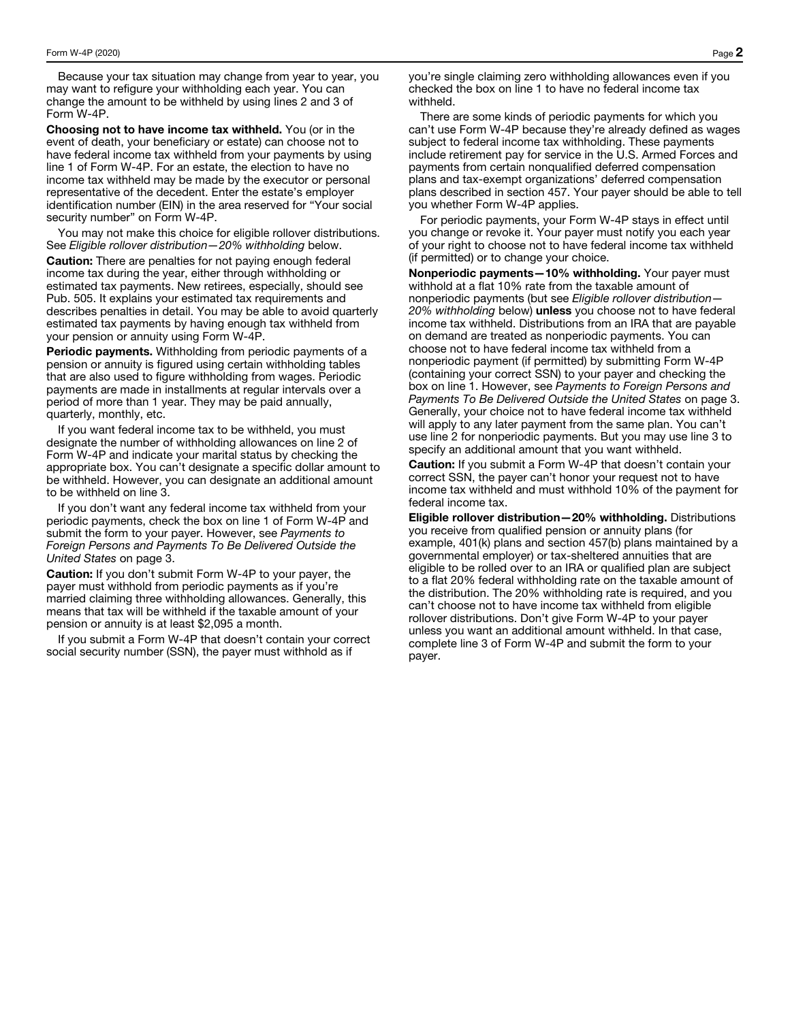Because your tax situation may change from year to year, you may want to refigure your withholding each year. You can change the amount to be withheld by using lines 2 and 3 of Form W-4P.

Choosing not to have income tax withheld. You (or in the event of death, your beneficiary or estate) can choose not to have federal income tax withheld from your payments by using line 1 of Form W-4P. For an estate, the election to have no income tax withheld may be made by the executor or personal representative of the decedent. Enter the estate's employer identification number (EIN) in the area reserved for "Your social security number" on Form W-4P.

You may not make this choice for eligible rollover distributions. See *Eligible rollover distribution—20% withholding* below.

Caution: There are penalties for not paying enough federal income tax during the year, either through withholding or estimated tax payments. New retirees, especially, should see Pub. 505. It explains your estimated tax requirements and describes penalties in detail. You may be able to avoid quarterly estimated tax payments by having enough tax withheld from your pension or annuity using Form W-4P.

Periodic payments. Withholding from periodic payments of a pension or annuity is figured using certain withholding tables that are also used to figure withholding from wages. Periodic payments are made in installments at regular intervals over a period of more than 1 year. They may be paid annually, quarterly, monthly, etc.

If you want federal income tax to be withheld, you must designate the number of withholding allowances on line 2 of Form W-4P and indicate your marital status by checking the appropriate box. You can't designate a specific dollar amount to be withheld. However, you can designate an additional amount to be withheld on line 3.

If you don't want any federal income tax withheld from your periodic payments, check the box on line 1 of Form W-4P and submit the form to your payer. However, see *Payments to Foreign Persons and Payments To Be Delivered Outside the United States* on page 3.

Caution: If you don't submit Form W-4P to your payer, the payer must withhold from periodic payments as if you're married claiming three withholding allowances. Generally, this means that tax will be withheld if the taxable amount of your pension or annuity is at least \$2,095 a month.

If you submit a Form W-4P that doesn't contain your correct social security number (SSN), the payer must withhold as if

you're single claiming zero withholding allowances even if you checked the box on line 1 to have no federal income tax withheld.

There are some kinds of periodic payments for which you can't use Form W-4P because they're already defined as wages subject to federal income tax withholding. These payments include retirement pay for service in the U.S. Armed Forces and payments from certain nonqualified deferred compensation plans and tax-exempt organizations' deferred compensation plans described in section 457. Your payer should be able to tell you whether Form W-4P applies.

For periodic payments, your Form W-4P stays in effect until you change or revoke it. Your payer must notify you each year of your right to choose not to have federal income tax withheld (if permitted) or to change your choice.

Nonperiodic payments—10% withholding. Your payer must withhold at a flat 10% rate from the taxable amount of nonperiodic payments (but see *Eligible rollover distribution— 20% withholding* below) unless you choose not to have federal income tax withheld. Distributions from an IRA that are payable on demand are treated as nonperiodic payments. You can choose not to have federal income tax withheld from a nonperiodic payment (if permitted) by submitting Form W-4P (containing your correct SSN) to your payer and checking the box on line 1. However, see *Payments to Foreign Persons and Payments To Be Delivered Outside the United States* on page 3. Generally, your choice not to have federal income tax withheld will apply to any later payment from the same plan. You can't use line 2 for nonperiodic payments. But you may use line 3 to specify an additional amount that you want withheld.

Caution: If you submit a Form W-4P that doesn't contain your correct SSN, the payer can't honor your request not to have income tax withheld and must withhold 10% of the payment for federal income tax.

Eligible rollover distribution—20% withholding. Distributions you receive from qualified pension or annuity plans (for example, 401(k) plans and section 457(b) plans maintained by a governmental employer) or tax-sheltered annuities that are eligible to be rolled over to an IRA or qualified plan are subject to a flat 20% federal withholding rate on the taxable amount of the distribution. The 20% withholding rate is required, and you can't choose not to have income tax withheld from eligible rollover distributions. Don't give Form W-4P to your payer unless you want an additional amount withheld. In that case, complete line 3 of Form W-4P and submit the form to your payer.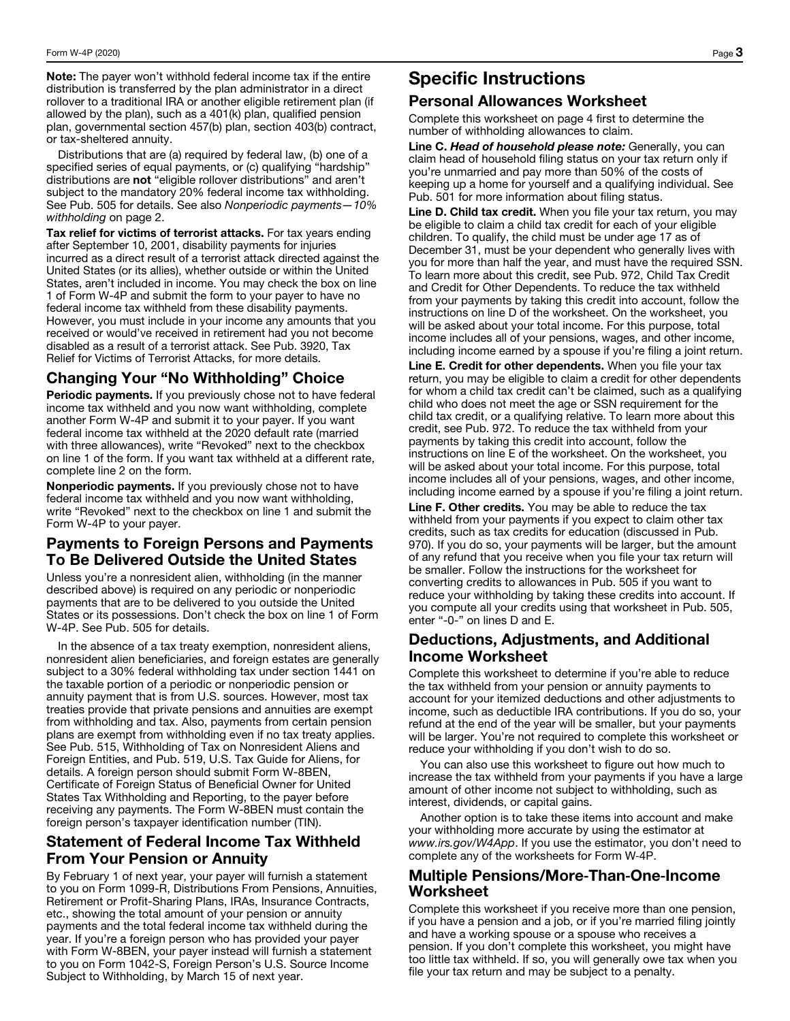Note: The payer won't withhold federal income tax if the entire distribution is transferred by the plan administrator in a direct rollover to a traditional IRA or another eligible retirement plan (if allowed by the plan), such as a 401(k) plan, qualified pension plan, governmental section 457(b) plan, section 403(b) contract, or tax-sheltered annuity.

Distributions that are (a) required by federal law, (b) one of a specified series of equal payments, or (c) qualifying "hardship" distributions are not "eligible rollover distributions" and aren't subject to the mandatory 20% federal income tax withholding. See Pub. 505 for details. See also *Nonperiodic payments—10% withholding* on page 2.

Tax relief for victims of terrorist attacks. For tax years ending after September 10, 2001, disability payments for injuries incurred as a direct result of a terrorist attack directed against the United States (or its allies), whether outside or within the United States, aren't included in income. You may check the box on line 1 of Form W-4P and submit the form to your payer to have no federal income tax withheld from these disability payments. However, you must include in your income any amounts that you received or would've received in retirement had you not become disabled as a result of a terrorist attack. See Pub. 3920, Tax Relief for Victims of Terrorist Attacks, for more details.

## Changing Your "No Withholding" Choice

Periodic payments. If you previously chose not to have federal income tax withheld and you now want withholding, complete another Form W-4P and submit it to your payer. If you want federal income tax withheld at the 2020 default rate (married with three allowances), write "Revoked" next to the checkbox on line 1 of the form. If you want tax withheld at a different rate, complete line 2 on the form.

Nonperiodic payments. If you previously chose not to have federal income tax withheld and you now want withholding, write "Revoked" next to the checkbox on line 1 and submit the Form W-4P to your payer.

## Payments to Foreign Persons and Payments To Be Delivered Outside the United States

Unless you're a nonresident alien, withholding (in the manner described above) is required on any periodic or nonperiodic payments that are to be delivered to you outside the United States or its possessions. Don't check the box on line 1 of Form W-4P. See Pub. 505 for details.

In the absence of a tax treaty exemption, nonresident aliens, nonresident alien beneficiaries, and foreign estates are generally subject to a 30% federal withholding tax under section 1441 on the taxable portion of a periodic or nonperiodic pension or annuity payment that is from U.S. sources. However, most tax treaties provide that private pensions and annuities are exempt from withholding and tax. Also, payments from certain pension plans are exempt from withholding even if no tax treaty applies. See Pub. 515, Withholding of Tax on Nonresident Aliens and Foreign Entities, and Pub. 519, U.S. Tax Guide for Aliens, for details. A foreign person should submit Form W-8BEN, Certificate of Foreign Status of Beneficial Owner for United States Tax Withholding and Reporting, to the payer before receiving any payments. The Form W-8BEN must contain the foreign person's taxpayer identification number (TIN).

## Statement of Federal Income Tax Withheld From Your Pension or Annuity

By February 1 of next year, your payer will furnish a statement to you on Form 1099-R, Distributions From Pensions, Annuities, Retirement or Profit-Sharing Plans, IRAs, Insurance Contracts, etc., showing the total amount of your pension or annuity payments and the total federal income tax withheld during the year. If you're a foreign person who has provided your payer with Form W-8BEN, your payer instead will furnish a statement to you on Form 1042-S, Foreign Person's U.S. Source Income Subject to Withholding, by March 15 of next year.

# Specific Instructions

## Personal Allowances Worksheet

Complete this worksheet on page 4 first to determine the number of withholding allowances to claim.

Line C. *Head of household please note:* Generally, you can claim head of household filing status on your tax return only if you're unmarried and pay more than 50% of the costs of keeping up a home for yourself and a qualifying individual. See Pub. 501 for more information about filing status.

Line D. Child tax credit. When you file your tax return, you may be eligible to claim a child tax credit for each of your eligible children. To qualify, the child must be under age 17 as of December 31, must be your dependent who generally lives with you for more than half the year, and must have the required SSN. To learn more about this credit, see Pub. 972, Child Tax Credit and Credit for Other Dependents. To reduce the tax withheld from your payments by taking this credit into account, follow the instructions on line D of the worksheet. On the worksheet, you will be asked about your total income. For this purpose, total income includes all of your pensions, wages, and other income, including income earned by a spouse if you're filing a joint return.

Line E. Credit for other dependents. When you file your tax return, you may be eligible to claim a credit for other dependents for whom a child tax credit can't be claimed, such as a qualifying child who does not meet the age or SSN requirement for the child tax credit, or a qualifying relative. To learn more about this credit, see Pub. 972. To reduce the tax withheld from your payments by taking this credit into account, follow the instructions on line E of the worksheet. On the worksheet, you will be asked about your total income. For this purpose, total income includes all of your pensions, wages, and other income, including income earned by a spouse if you're filing a joint return.

Line F. Other credits. You may be able to reduce the tax withheld from your payments if you expect to claim other tax credits, such as tax credits for education (discussed in Pub. 970). If you do so, your payments will be larger, but the amount of any refund that you receive when you file your tax return will be smaller. Follow the instructions for the worksheet for converting credits to allowances in Pub. 505 if you want to reduce your withholding by taking these credits into account. If you compute all your credits using that worksheet in Pub. 505, enter "-0-" on lines D and E.

## Deductions, Adjustments, and Additional Income Worksheet

Complete this worksheet to determine if you're able to reduce the tax withheld from your pension or annuity payments to account for your itemized deductions and other adjustments to income, such as deductible IRA contributions. If you do so, your refund at the end of the year will be smaller, but your payments will be larger. You're not required to complete this worksheet or reduce your withholding if you don't wish to do so.

You can also use this worksheet to figure out how much to increase the tax withheld from your payments if you have a large amount of other income not subject to withholding, such as interest, dividends, or capital gains.

Another option is to take these items into account and make your withholding more accurate by using the estimator at *www.irs.gov/W4App*. If you use the estimator, you don't need to complete any of the worksheets for Form W‐4P.

## Multiple Pensions/More**‐**Than**‐**One**‐**Income Worksheet

Complete this worksheet if you receive more than one pension, if you have a pension and a job, or if you're married filing jointly and have a working spouse or a spouse who receives a pension. If you don't complete this worksheet, you might have too little tax withheld. If so, you will generally owe tax when you file your tax return and may be subject to a penalty.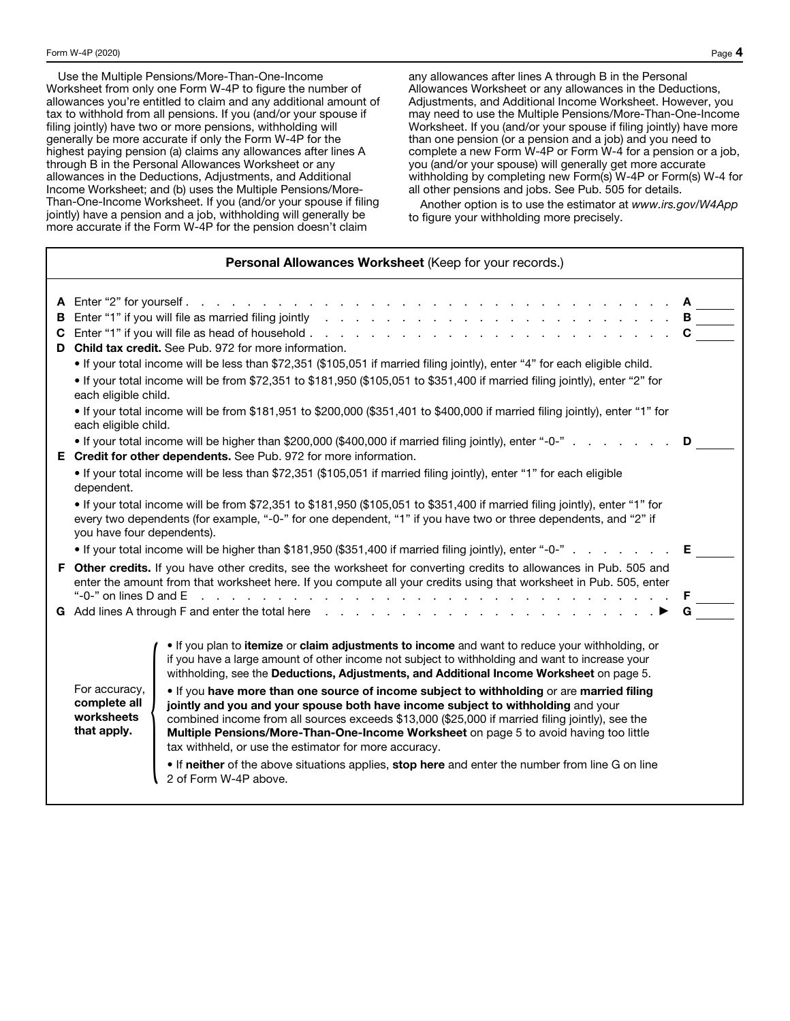Use the Multiple Pensions/More-Than-One-Income Worksheet from only one Form W-4P to figure the number of allowances you're entitled to claim and any additional amount of tax to withhold from all pensions. If you (and/or your spouse if filing jointly) have two or more pensions, withholding will generally be more accurate if only the Form W-4P for the highest paying pension (a) claims any allowances after lines A through B in the Personal Allowances Worksheet or any allowances in the Deductions, Adjustments, and Additional Income Worksheet; and (b) uses the Multiple Pensions/More-Than-One-Income Worksheet. If you (and/or your spouse if filing jointly) have a pension and a job, withholding will generally be more accurate if the Form W-4P for the pension doesn't claim

any allowances after lines A through B in the Personal Allowances Worksheet or any allowances in the Deductions, Adjustments, and Additional Income Worksheet. However, you may need to use the Multiple Pensions/More-Than-One-Income Worksheet. If you (and/or your spouse if filing jointly) have more than one pension (or a pension and a job) and you need to complete a new Form W-4P or Form W-4 for a pension or a job, you (and/or your spouse) will generally get more accurate withholding by completing new Form(s) W-4P or Form(s) W-4 for all other pensions and jobs. See Pub. 505 for details.

Another option is to use the estimator at *www.irs.gov/W4App* to figure your withholding more precisely.

| Personal Allowances Worksheet (Keep for your records.)                                                                                                                                                                                                                                                                                                                                                                                                                                                                                                                                                                                                                                                                                                                                                                                                                                                                          |  |  |  |
|---------------------------------------------------------------------------------------------------------------------------------------------------------------------------------------------------------------------------------------------------------------------------------------------------------------------------------------------------------------------------------------------------------------------------------------------------------------------------------------------------------------------------------------------------------------------------------------------------------------------------------------------------------------------------------------------------------------------------------------------------------------------------------------------------------------------------------------------------------------------------------------------------------------------------------|--|--|--|
| <b>B</b> Enter "1" if you will file as married filing jointly referred to referred the set of the set of the set of the set of the set of the set of the set of the set of the set of the set of the set of the set of the set of<br>D Child tax credit. See Pub. 972 for more information.<br>. If your total income will be less than \$72,351 (\$105,051 if married filing jointly), enter "4" for each eligible child.<br>• If your total income will be from \$72,351 to \$181,950 (\$105,051 to \$351,400 if married filing jointly), enter "2" for<br>each eligible child.<br>• If your total income will be from \$181,951 to \$200,000 (\$351,401 to \$400,000 if married filing jointly), enter "1" for                                                                                                                                                                                                               |  |  |  |
| each eligible child.<br>• If your total income will be higher than \$200,000 (\$400,000 if married filing jointly), enter "-0-"<br>E Credit for other dependents. See Pub. 972 for more information.<br>• If your total income will be less than \$72,351 (\$105,051 if married filing jointly), enter "1" for each eligible<br>dependent.<br>• If your total income will be from \$72,351 to \$181,950 (\$105,051 to \$351,400 if married filing jointly), enter "1" for<br>every two dependents (for example, "-0-" for one dependent, "1" if you have two or three dependents, and "2" if                                                                                                                                                                                                                                                                                                                                    |  |  |  |
| you have four dependents).<br>• If your total income will be higher than \$181,950 (\$351,400 if married filing jointly), enter "-0-"<br>E.<br>F Other credits. If you have other credits, see the worksheet for converting credits to allowances in Pub. 505 and<br>enter the amount from that worksheet here. If you compute all your credits using that worksheet in Pub. 505, enter<br>G Add lines A through F and enter the total here resonance and resonance of Add lines A through F and enter the total here resonance and resonance of Add lines A                                                                                                                                                                                                                                                                                                                                                                    |  |  |  |
| . If you plan to itemize or claim adjustments to income and want to reduce your withholding, or<br>if you have a large amount of other income not subject to withholding and want to increase your<br>withholding, see the Deductions, Adjustments, and Additional Income Worksheet on page 5.<br>For accuracy,<br>. If you have more than one source of income subject to withholding or are married filing<br>complete all<br>jointly and you and your spouse both have income subject to withholding and your<br>worksheets<br>combined income from all sources exceeds \$13,000 (\$25,000 if married filing jointly), see the<br>that apply.<br>Multiple Pensions/More-Than-One-Income Worksheet on page 5 to avoid having too little<br>tax withheld, or use the estimator for more accuracy.<br>. If neither of the above situations applies, stop here and enter the number from line G on line<br>2 of Form W-4P above. |  |  |  |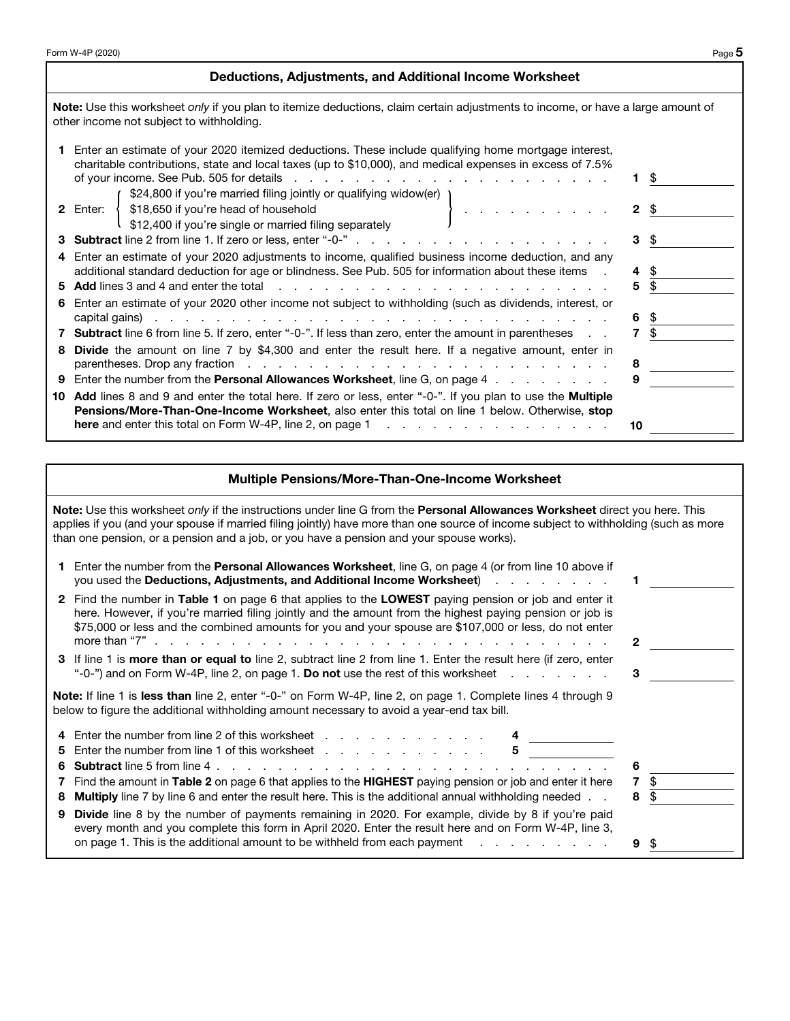### Deductions, Adjustments, and Additional Income Worksheet

Note: Use this worksheet *only* if you plan to itemize deductions, claim certain adjustments to income, or have a large amount of other income not subject to withholding.

| 1 Enter an estimate of your 2020 itemized deductions. These include qualifying home mortgage interest,<br>charitable contributions, state and local taxes (up to \$10,000), and medical expenses in excess of 7.5%<br>of your income. See Pub. 505 for details enterstanding and and a set of your income. See Pub. 505 for details<br>\$24,800 if you're married filing jointly or qualifying widow(er) 1 |              | SS. |
|------------------------------------------------------------------------------------------------------------------------------------------------------------------------------------------------------------------------------------------------------------------------------------------------------------------------------------------------------------------------------------------------------------|--------------|-----|
| \$18,650 if you're head of household<br>$\mathcal{L}=\left\{ \begin{array}{ll} 1 & \text{if } \mathcal{L} \in \mathcal{L} \text{ and } \mathcal{L} \neq \mathcal{L} \text{ and } \mathcal{L} \neq \mathcal{L} \text{ and } \mathcal{L} \neq \mathcal{L} \end{array} \right.$<br>2 Enter: {<br>\$12,400 if you're single or married filing separately                                                       | $2 \sqrt{5}$ |     |
|                                                                                                                                                                                                                                                                                                                                                                                                            | 3 \$         |     |
| 4 Enter an estimate of your 2020 adjustments to income, qualified business income deduction, and any                                                                                                                                                                                                                                                                                                       |              |     |
| additional standard deduction for age or blindness. See Pub. 505 for information about these items.                                                                                                                                                                                                                                                                                                        | 4            | \$. |
| 5 Add lines 3 and 4 and enter the total enterstanding to the contract of the contract of the contract of the contract of the contract of the contract of the contract of the contract of the contract of the contract of the c                                                                                                                                                                             | 5            |     |
| 6 Enter an estimate of your 2020 other income not subject to withholding (such as dividends, interest, or                                                                                                                                                                                                                                                                                                  |              |     |
|                                                                                                                                                                                                                                                                                                                                                                                                            | 6            | \$. |
| 7 Subtract line 6 from line 5. If zero, enter "-0-". If less than zero, enter the amount in parentheses                                                                                                                                                                                                                                                                                                    | 7            |     |
| 8 Divide the amount on line 7 by \$4,300 and enter the result here. If a negative amount, enter in                                                                                                                                                                                                                                                                                                         |              |     |
| parentheses. Drop any fraction enterstanding to the contract of the contract of the contract of the contract of                                                                                                                                                                                                                                                                                            | 8            |     |
| 9 Enter the number from the Personal Allowances Worksheet, line G, on page 4                                                                                                                                                                                                                                                                                                                               | 9            |     |
| 10 Add lines 8 and 9 and enter the total here. If zero or less, enter "-0-". If you plan to use the Multiple                                                                                                                                                                                                                                                                                               |              |     |
| <b>Pensions/More-Than-One-Income Worksheet, also enter this total on line 1 below. Otherwise, stop</b>                                                                                                                                                                                                                                                                                                     |              |     |
| <b>here</b> and enter this total on Form W-4P, line 2, on page 1 $\ldots$                                                                                                                                                                                                                                                                                                                                  | 10           |     |

### Multiple Pensions/More-Than-One-Income Worksheet

Note: Use this worksheet *only* if the instructions under line G from the Personal Allowances Worksheet direct you here. This applies if you (and your spouse if married filing jointly) have more than one source of income subject to withholding (such as more than one pension, or a pension and a job, or you have a pension and your spouse works).

|    | Enter the number from the <b>Personal Allowances Worksheet</b> , line G, on page 4 (or from line 10 above if<br>you used the Deductions, Adjustments, and Additional Income Worksheet <b>Fig. 1.</b> All Alley and the Deductions, Adjustments, and Additional Income Worksheet                                           |        |          |  |
|----|---------------------------------------------------------------------------------------------------------------------------------------------------------------------------------------------------------------------------------------------------------------------------------------------------------------------------|--------|----------|--|
|    | 2 Find the number in Table 1 on page 6 that applies to the LOWEST paying pension or job and enter it<br>here. However, if you're married filing jointly and the amount from the highest paying pension or job is<br>\$75,000 or less and the combined amounts for you and your spouse are \$107,000 or less, do not enter | -2     |          |  |
|    | 3 If line 1 is more than or equal to line 2, subtract line 2 from line 1. Enter the result here (if zero, enter<br>"-0-") and on Form W-4P, line 2, on page 1. Do not use the rest of this worksheet $\ldots$                                                                                                             | З      |          |  |
|    | Note: If line 1 is less than line 2, enter "-0-" on Form W-4P, line 2, on page 1. Complete lines 4 through 9<br>below to figure the additional withholding amount necessary to avoid a year-end tax bill.                                                                                                                 |        |          |  |
|    | 4 Enter the number from line 2 of this worksheet<br>5 Enter the number from line 1 of this worksheet<br>5                                                                                                                                                                                                                 | 6      |          |  |
| 8. | 7 Find the amount in Table 2 on page 6 that applies to the HIGHEST paying pension or job and enter it here<br><b>Multiply</b> line 7 by line 6 and enter the result here. This is the additional annual withholding needed                                                                                                | 7<br>8 | \$<br>\$ |  |
| 9  | <b>Divide</b> line 8 by the number of payments remaining in 2020. For example, divide by 8 if you're paid<br>every month and you complete this form in April 2020. Enter the result here and on Form W-4P, line 3,                                                                                                        |        |          |  |
|    | on page 1. This is the additional amount to be withheld from each payment and the state of the state of the state of payment and page 1. This is the additional amount to be withheld from each payment.                                                                                                                  | 9      | S        |  |